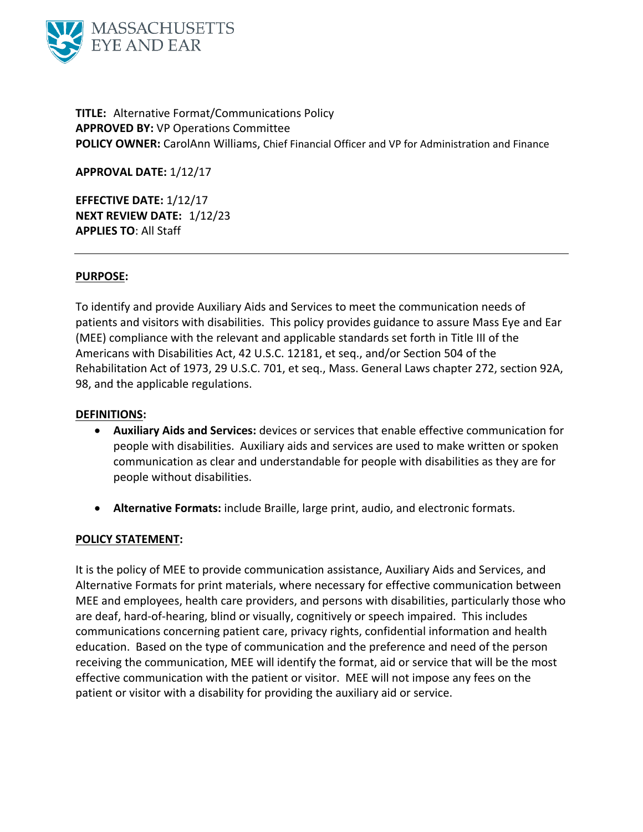

**TITLE:** Alternative Format/Communications Policy **APPROVED BY:** VP Operations Committee **POLICY OWNER:** CarolAnn Williams, Chief Financial Officer and VP for Administration and Finance

**APPROVAL DATE:** 1/12/17

**EFFECTIVE DATE:** 1/12/17 **NEXT REVIEW DATE:** 1/12/23 **APPLIES TO**: All Staff

## **PURPOSE:**

To identify and provide Auxiliary Aids and Services to meet the communication needs of patients and visitors with disabilities. This policy provides guidance to assure Mass Eye and Ear (MEE) compliance with the relevant and applicable standards set forth in Title III of the Americans with Disabilities Act, 42 U.S.C. 12181, et seq., and/or Section 504 of the Rehabilitation Act of 1973, 29 U.S.C. 701, et seq., Mass. General Laws chapter 272, section 92A, 98, and the applicable regulations.

## **DEFINITIONS:**

- **Auxiliary Aids and Services:** devices or services that enable effective communication for people with disabilities. Auxiliary aids and services are used to make written or spoken communication as clear and understandable for people with disabilities as they are for people without disabilities.
- **Alternative Formats:** include Braille, large print, audio, and electronic formats.

### **POLICY STATEMENT:**

It is the policy of MEE to provide communication assistance, Auxiliary Aids and Services, and Alternative Formats for print materials, where necessary for effective communication between MEE and employees, health care providers, and persons with disabilities, particularly those who are deaf, hard-of-hearing, blind or visually, cognitively or speech impaired. This includes communications concerning patient care, privacy rights, confidential information and health education. Based on the type of communication and the preference and need of the person receiving the communication, MEE will identify the format, aid or service that will be the most effective communication with the patient or visitor. MEE will not impose any fees on the patient or visitor with a disability for providing the auxiliary aid or service.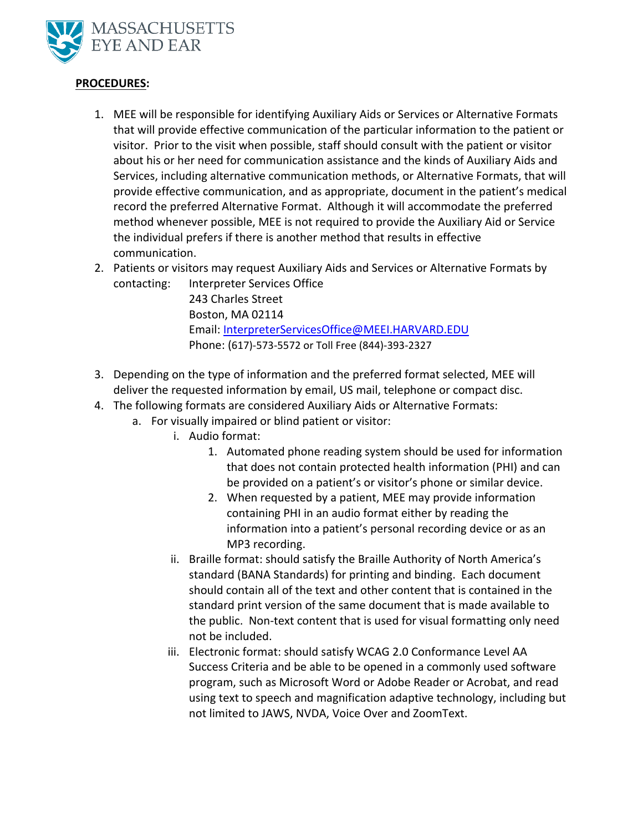

# **PROCEDURES:**

- 1. MEE will be responsible for identifying Auxiliary Aids or Services or Alternative Formats that will provide effective communication of the particular information to the patient or visitor. Prior to the visit when possible, staff should consult with the patient or visitor about his or her need for communication assistance and the kinds of Auxiliary Aids and Services, including alternative communication methods, or Alternative Formats, that will provide effective communication, and as appropriate, document in the patient's medical record the preferred Alternative Format. Although it will accommodate the preferred method whenever possible, MEE is not required to provide the Auxiliary Aid or Service the individual prefers if there is another method that results in effective communication.
- 2. Patients or visitors may request Auxiliary Aids and Services or Alternative Formats by contacting: Interpreter Services Office

243 Charles Street Boston, MA 02114 Email: [InterpreterServicesOffice@MEEI.HARVARD.EDU](mailto:InterpreterServicesOffice@MEEI.HARVARD.EDU) Phone: (617)-573-5572 or Toll Free (844)-393-2327

- 3. Depending on the type of information and the preferred format selected, MEE will deliver the requested information by email, US mail, telephone or compact disc.
- 4. The following formats are considered Auxiliary Aids or Alternative Formats:
	- a. For visually impaired or blind patient or visitor:
		- i. Audio format:
			- 1. Automated phone reading system should be used for information that does not contain protected health information (PHI) and can be provided on a patient's or visitor's phone or similar device.
			- 2. When requested by a patient, MEE may provide information containing PHI in an audio format either by reading the information into a patient's personal recording device or as an MP3 recording.
		- ii. Braille format: should satisfy the Braille Authority of North America's standard (BANA Standards) for printing and binding. Each document should contain all of the text and other content that is contained in the standard print version of the same document that is made available to the public. Non-text content that is used for visual formatting only need not be included.
		- iii. Electronic format: should satisfy WCAG 2.0 Conformance Level AA Success Criteria and be able to be opened in a commonly used software program, such as Microsoft Word or Adobe Reader or Acrobat, and read using text to speech and magnification adaptive technology, including but not limited to JAWS, NVDA, Voice Over and ZoomText.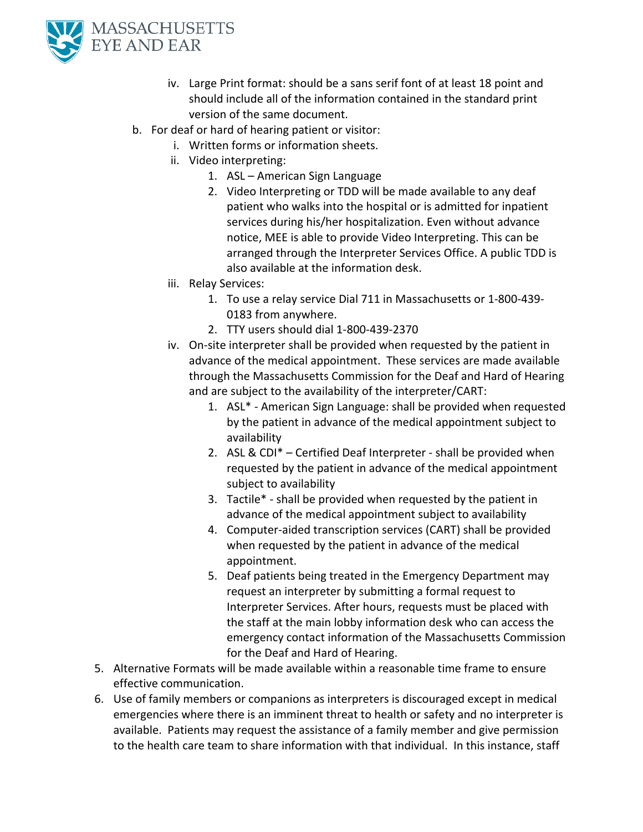

- iv. Large Print format: should be a sans serif font of at least 18 point and should include all of the information contained in the standard print version of the same document.
- b. For deaf or hard of hearing patient or visitor:
	- i. Written forms or information sheets.
	- ii. Video interpreting:
		- 1. ASL American Sign Language
		- 2. Video Interpreting or TDD will be made available to any deaf patient who walks into the hospital or is admitted for inpatient services during his/her hospitalization. Even without advance notice, MEE is able to provide Video Interpreting. This can be arranged through the Interpreter Services Office. A public TDD is also available at the information desk.
	- iii. Relay Services:
		- 1. To use a relay service Dial 711 in Massachusetts or 1-800-439- 0183 from anywhere.
		- 2. TTY users should dial 1-800-439-2370
	- iv. On-site interpreter shall be provided when requested by the patient in advance of the medical appointment. These services are made available through the Massachusetts Commission for the Deaf and Hard of Hearing and are subject to the availability of the interpreter/CART:
		- 1. ASL\* American Sign Language: shall be provided when requested by the patient in advance of the medical appointment subject to availability
		- 2. ASL & CDI\* Certified Deaf Interpreter shall be provided when requested by the patient in advance of the medical appointment subject to availability
		- 3. Tactile\* shall be provided when requested by the patient in advance of the medical appointment subject to availability
		- 4. Computer-aided transcription services (CART) shall be provided when requested by the patient in advance of the medical appointment.
		- 5. Deaf patients being treated in the Emergency Department may request an interpreter by submitting a formal request to Interpreter Services. After hours, requests must be placed with the staff at the main lobby information desk who can access the emergency contact information of the Massachusetts Commission for the Deaf and Hard of Hearing.
- 5. Alternative Formats will be made available within a reasonable time frame to ensure effective communication.
- 6. Use of family members or companions as interpreters is discouraged except in medical emergencies where there is an imminent threat to health or safety and no interpreter is available. Patients may request the assistance of a family member and give permission to the health care team to share information with that individual. In this instance, staff